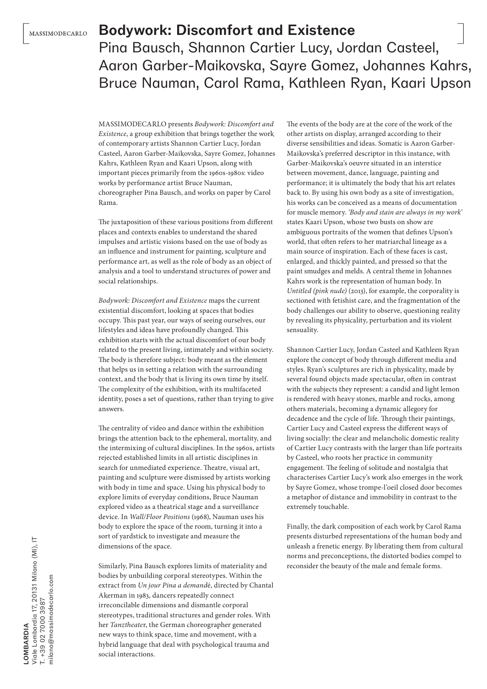## Bodywork: Discomfort and Existence

Pina Bausch, Shannon Cartier Lucy, Jordan Casteel, Aaron Garber-Maikovska, Sayre Gomez, Johannes Kahrs, Bruce Nauman, Carol Rama, Kathleen Ryan, Kaari Upson

MASSIMODECARLO presents *Bodywork: Discomfort and Existence*, a group exhibition that brings together the work of contemporary artists Shannon Cartier Lucy, Jordan Casteel, Aaron Garber-Maikovska, Sayre Gomez, Johannes Kahrs, Kathleen Ryan and Kaari Upson, along with important pieces primarily from the 1960s-1980s: video works by performance artist Bruce Nauman, choreographer Pina Bausch, and works on paper by Carol Rama.

The juxtaposition of these various positions from different places and contexts enables to understand the shared impulses and artistic visions based on the use of body as an influence and instrument for painting, sculpture and performance art, as well as the role of body as an object of analysis and a tool to understand structures of power and social relationships.

*Bodywork: Discomfort and Existence* maps the current existential discomfort, looking at spaces that bodies occupy. This past year, our ways of seeing ourselves, our lifestyles and ideas have profoundly changed. This exhibition starts with the actual discomfort of our body related to the present living, intimately and within society. The body is therefore subject: body meant as the element that helps us in setting a relation with the surrounding context, and the body that is living its own time by itself. The complexity of the exhibition, with its multifaceted identity, poses a set of questions, rather than trying to give answers.

The centrality of video and dance within the exhibition brings the attention back to the ephemeral, mortality, and the intermixing of cultural disciplines. In the 1960s, artists rejected established limits in all artistic disciplines in search for unmediated experience. Theatre, visual art, painting and sculpture were dismissed by artists working with body in time and space. Using his physical body to explore limits of everyday conditions, Bruce Nauman explored video as a theatrical stage and a surveillance device. In *Wall/Floor Positions* (1968), Nauman uses his body to explore the space of the room, turning it into a sort of yardstick to investigate and measure the dimensions of the space.

Similarly, Pina Bausch explores limits of materiality and bodies by unbuilding corporal stereotypes. Within the extract from *Un jour Pina a demand*é, directed by Chantal Akerman in 1983, dancers repeatedly connect irreconcilable dimensions and dismantle corporal stereotypes, traditional structures and gender roles. With her *Tanztheate*r, the German choreographer generated new ways to think space, time and movement, with a hybrid language that deal with psychological trauma and social interactions.

The events of the body are at the core of the work of the other artists on display, arranged according to their diverse sensibilities and ideas. Somatic is Aaron Garber-Maikovska's preferred descriptor in this instance, with Garber-Maikovska's oeuvre situated in an interstice between movement, dance, language, painting and performance; it is ultimately the body that his art relates back to. By using his own body as a site of investigation, his works can be conceived as a means of documentation for muscle memory. *'Body and stain are always in my work'* states Kaari Upson, whose two busts on show are ambiguous portraits of the women that defines Upson's world, that often refers to her matriarchal lineage as a main source of inspiration. Each of these faces is cast, enlarged, and thickly painted, and pressed so that the paint smudges and melds. A central theme in Johannes Kahrs work is the representation of human body. In *Untitled (pink nude)* (2013), for example, the corporality is sectioned with fetishist care, and the fragmentation of the body challenges our ability to observe, questioning reality by revealing its physicality, perturbation and its violent sensuality.

Shannon Cartier Lucy, Jordan Casteel and Kathleen Ryan explore the concept of body through different media and styles. Ryan's sculptures are rich in physicality, made by several found objects made spectacular, often in contrast with the subjects they represent: a candid and light lemon is rendered with heavy stones, marble and rocks, among others materials, becoming a dynamic allegory for decadence and the cycle of life. Through their paintings, Cartier Lucy and Casteel express the different ways of living socially: the clear and melancholic domestic reality of Cartier Lucy contrasts with the larger than life portraits by Casteel, who roots her practice in community engagement. The feeling of solitude and nostalgia that characterises Cartier Lucy's work also emerges in the work by Sayre Gomez, whose trompe-l'oeil closed door becomes a metaphor of distance and immobility in contrast to the extremely touchable.

Finally, the dark composition of each work by Carol Rama presents disturbed representations of the human body and unleash a frenetic energy. By liberating them from cultural norms and preconceptions, the distorted bodies compel to reconsider the beauty of the male and female forms.